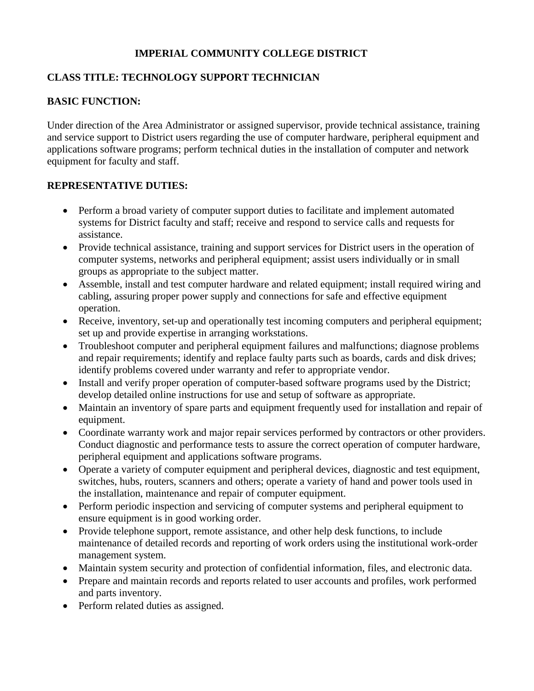# **IMPERIAL COMMUNITY COLLEGE DISTRICT**

# **CLASS TITLE: TECHNOLOGY SUPPORT TECHNICIAN**

## **BASIC FUNCTION:**

Under direction of the Area Administrator or assigned supervisor, provide technical assistance, training and service support to District users regarding the use of computer hardware, peripheral equipment and applications software programs; perform technical duties in the installation of computer and network equipment for faculty and staff.

## **REPRESENTATIVE DUTIES:**

- Perform a broad variety of computer support duties to facilitate and implement automated systems for District faculty and staff; receive and respond to service calls and requests for assistance.
- Provide technical assistance, training and support services for District users in the operation of computer systems, networks and peripheral equipment; assist users individually or in small groups as appropriate to the subject matter.
- Assemble, install and test computer hardware and related equipment; install required wiring and cabling, assuring proper power supply and connections for safe and effective equipment operation.
- Receive, inventory, set-up and operationally test incoming computers and peripheral equipment; set up and provide expertise in arranging workstations.
- Troubleshoot computer and peripheral equipment failures and malfunctions; diagnose problems and repair requirements; identify and replace faulty parts such as boards, cards and disk drives; identify problems covered under warranty and refer to appropriate vendor.
- Install and verify proper operation of computer-based software programs used by the District; develop detailed online instructions for use and setup of software as appropriate.
- Maintain an inventory of spare parts and equipment frequently used for installation and repair of equipment.
- Coordinate warranty work and major repair services performed by contractors or other providers. Conduct diagnostic and performance tests to assure the correct operation of computer hardware, peripheral equipment and applications software programs.
- Operate a variety of computer equipment and peripheral devices, diagnostic and test equipment, switches, hubs, routers, scanners and others; operate a variety of hand and power tools used in the installation, maintenance and repair of computer equipment.
- Perform periodic inspection and servicing of computer systems and peripheral equipment to ensure equipment is in good working order.
- Provide telephone support, remote assistance, and other help desk functions, to include maintenance of detailed records and reporting of work orders using the institutional work-order management system.
- Maintain system security and protection of confidential information, files, and electronic data.
- Prepare and maintain records and reports related to user accounts and profiles, work performed and parts inventory.
- Perform related duties as assigned.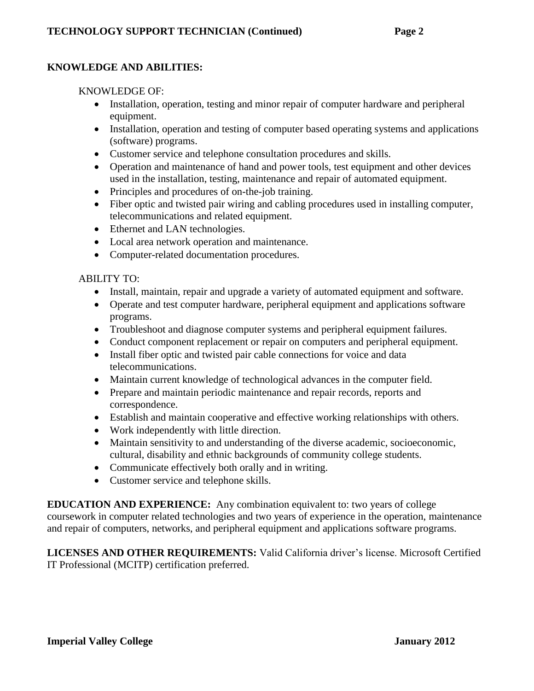## **KNOWLEDGE AND ABILITIES:**

### KNOWLEDGE OF:

- Installation, operation, testing and minor repair of computer hardware and peripheral equipment.
- Installation, operation and testing of computer based operating systems and applications (software) programs.
- Customer service and telephone consultation procedures and skills.
- Operation and maintenance of hand and power tools, test equipment and other devices used in the installation, testing, maintenance and repair of automated equipment.
- Principles and procedures of on-the-job training.
- Fiber optic and twisted pair wiring and cabling procedures used in installing computer, telecommunications and related equipment.
- Ethernet and LAN technologies.
- Local area network operation and maintenance.
- Computer-related documentation procedures.

#### ABILITY TO:

- Install, maintain, repair and upgrade a variety of automated equipment and software.
- Operate and test computer hardware, peripheral equipment and applications software programs.
- Troubleshoot and diagnose computer systems and peripheral equipment failures.
- Conduct component replacement or repair on computers and peripheral equipment.
- Install fiber optic and twisted pair cable connections for voice and data telecommunications.
- Maintain current knowledge of technological advances in the computer field.
- Prepare and maintain periodic maintenance and repair records, reports and correspondence.
- Establish and maintain cooperative and effective working relationships with others.
- Work independently with little direction.
- Maintain sensitivity to and understanding of the diverse academic, socioeconomic, cultural, disability and ethnic backgrounds of community college students.
- Communicate effectively both orally and in writing.
- Customer service and telephone skills.

**EDUCATION AND EXPERIENCE:** Any combination equivalent to: two years of college coursework in computer related technologies and two years of experience in the operation, maintenance and repair of computers, networks, and peripheral equipment and applications software programs.

**LICENSES AND OTHER REQUIREMENTS:** Valid California driver's license. Microsoft Certified IT Professional (MCITP) certification preferred.